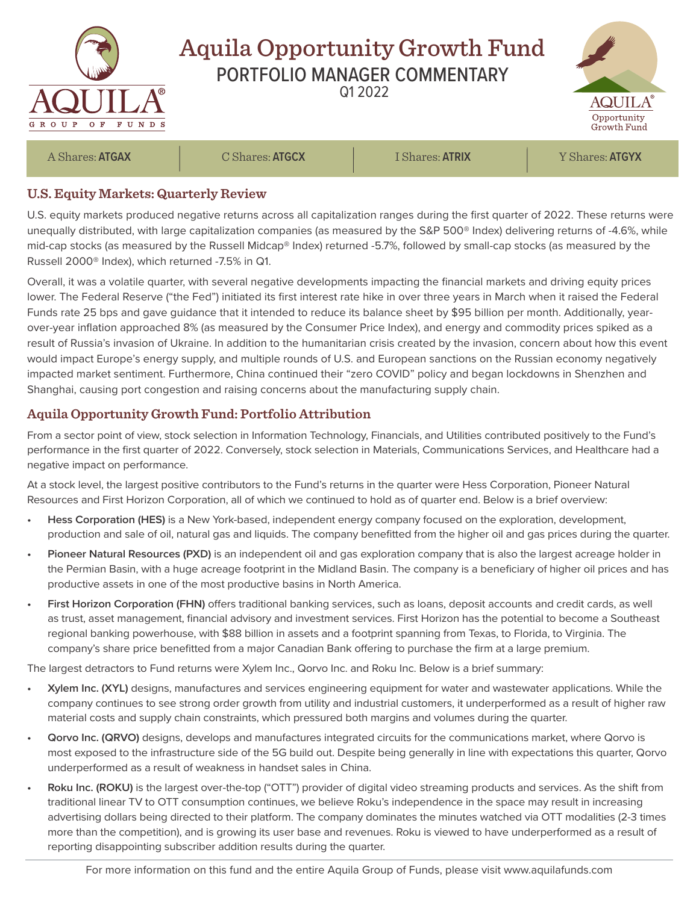

## **U.S. Equity Markets: Quarterly Review**

U.S. equity markets produced negative returns across all capitalization ranges during the first quarter of 2022. These returns were unequally distributed, with large capitalization companies (as measured by the S&P 500® Index) delivering returns of -4.6%, while mid-cap stocks (as measured by the Russell Midcap® Index) returned -5.7%, followed by small-cap stocks (as measured by the Russell 2000® Index), which returned -7.5% in Q1.

Overall, it was a volatile quarter, with several negative developments impacting the financial markets and driving equity prices lower. The Federal Reserve ("the Fed") initiated its first interest rate hike in over three years in March when it raised the Federal Funds rate 25 bps and gave guidance that it intended to reduce its balance sheet by \$95 billion per month. Additionally, yearover-year inflation approached 8% (as measured by the Consumer Price Index), and energy and commodity prices spiked as a result of Russia's invasion of Ukraine. In addition to the humanitarian crisis created by the invasion, concern about how this event would impact Europe's energy supply, and multiple rounds of U.S. and European sanctions on the Russian economy negatively impacted market sentiment. Furthermore, China continued their "zero COVID" policy and began lockdowns in Shenzhen and Shanghai, causing port congestion and raising concerns about the manufacturing supply chain.

## **Aquila Opportunity Growth Fund: Portfolio Attribution**

From a sector point of view, stock selection in Information Technology, Financials, and Utilities contributed positively to the Fund's performance in the first quarter of 2022. Conversely, stock selection in Materials, Communications Services, and Healthcare had a negative impact on performance.

At a stock level, the largest positive contributors to the Fund's returns in the quarter were Hess Corporation, Pioneer Natural Resources and First Horizon Corporation, all of which we continued to hold as of quarter end. Below is a brief overview:

- **• Hess Corporation (HES)** is a New York-based, independent energy company focused on the exploration, development, production and sale of oil, natural gas and liquids. The company benefitted from the higher oil and gas prices during the quarter.
- **• Pioneer Natural Resources (PXD)** is an independent oil and gas exploration company that is also the largest acreage holder in the Permian Basin, with a huge acreage footprint in the Midland Basin. The company is a beneficiary of higher oil prices and has productive assets in one of the most productive basins in North America.
- **• First Horizon Corporation (FHN)** offers traditional banking services, such as loans, deposit accounts and credit cards, as well as trust, asset management, financial advisory and investment services. First Horizon has the potential to become a Southeast regional banking powerhouse, with \$88 billion in assets and a footprint spanning from Texas, to Florida, to Virginia. The company's share price benefitted from a major Canadian Bank offering to purchase the firm at a large premium.

The largest detractors to Fund returns were Xylem Inc., Qorvo Inc. and Roku Inc. Below is a brief summary:

- **• Xylem Inc. (XYL)** designs, manufactures and services engineering equipment for water and wastewater applications. While the company continues to see strong order growth from utility and industrial customers, it underperformed as a result of higher raw material costs and supply chain constraints, which pressured both margins and volumes during the quarter.
- **• Qorvo Inc. (QRVO)** designs, develops and manufactures integrated circuits for the communications market, where Qorvo is most exposed to the infrastructure side of the 5G build out. Despite being generally in line with expectations this quarter, Qorvo underperformed as a result of weakness in handset sales in China.
- **• Roku Inc. (ROKU)** is the largest over-the-top ("OTT") provider of digital video streaming products and services. As the shift from traditional linear TV to OTT consumption continues, we believe Roku's independence in the space may result in increasing advertising dollars being directed to their platform. The company dominates the minutes watched via OTT modalities (2-3 times more than the competition), and is growing its user base and revenues. Roku is viewed to have underperformed as a result of reporting disappointing subscriber addition results during the quarter.